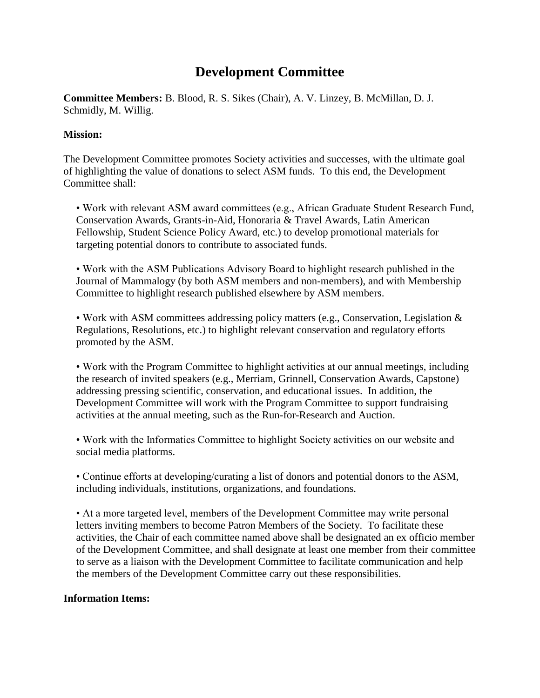## **Development Committee**

**Committee Members:** B. Blood, R. S. Sikes (Chair), A. V. Linzey, B. McMillan, D. J. Schmidly, M. Willig.

## **Mission:**

The Development Committee promotes Society activities and successes, with the ultimate goal of highlighting the value of donations to select ASM funds. To this end, the Development Committee shall:

• Work with relevant ASM award committees (e.g., African Graduate Student Research Fund, Conservation Awards, Grants-in-Aid, Honoraria & Travel Awards, Latin American Fellowship, Student Science Policy Award, etc.) to develop promotional materials for targeting potential donors to contribute to associated funds.

• Work with the ASM Publications Advisory Board to highlight research published in the Journal of Mammalogy (by both ASM members and non-members), and with Membership Committee to highlight research published elsewhere by ASM members.

• Work with ASM committees addressing policy matters (e.g., Conservation, Legislation & Regulations, Resolutions, etc.) to highlight relevant conservation and regulatory efforts promoted by the ASM.

• Work with the Program Committee to highlight activities at our annual meetings, including the research of invited speakers (e.g., Merriam, Grinnell, Conservation Awards, Capstone) addressing pressing scientific, conservation, and educational issues. In addition, the Development Committee will work with the Program Committee to support fundraising activities at the annual meeting, such as the Run-for-Research and Auction.

• Work with the Informatics Committee to highlight Society activities on our website and social media platforms.

• Continue efforts at developing/curating a list of donors and potential donors to the ASM, including individuals, institutions, organizations, and foundations.

• At a more targeted level, members of the Development Committee may write personal letters inviting members to become Patron Members of the Society. To facilitate these activities, the Chair of each committee named above shall be designated an ex officio member of the Development Committee, and shall designate at least one member from their committee to serve as a liaison with the Development Committee to facilitate communication and help the members of the Development Committee carry out these responsibilities.

## **Information Items:**